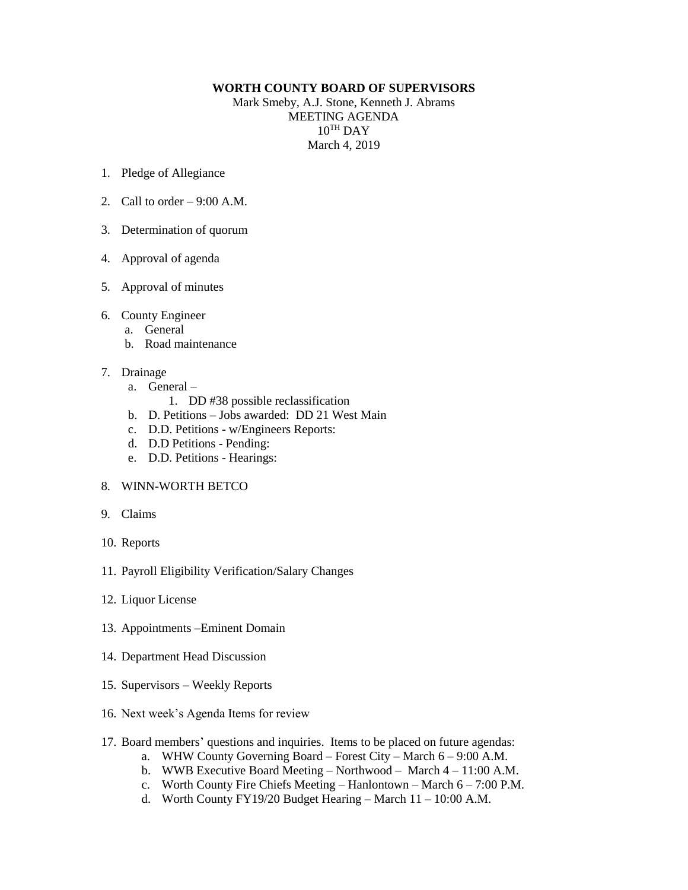## **WORTH COUNTY BOARD OF SUPERVISORS**

Mark Smeby, A.J. Stone, Kenneth J. Abrams MEETING AGENDA  $10^{TH}$  DAY March 4, 2019

- 1. Pledge of Allegiance
- 2. Call to order  $-9:00$  A.M.
- 3. Determination of quorum
- 4. Approval of agenda
- 5. Approval of minutes
- 6. County Engineer
	- a. General
	- b. Road maintenance

## 7. Drainage

- a. General
	- 1. DD #38 possible reclassification
- b. D. Petitions Jobs awarded: DD 21 West Main
- c. D.D. Petitions w/Engineers Reports:
- d. D.D Petitions Pending:
- e. D.D. Petitions Hearings:
- 8. WINN-WORTH BETCO
- 9. Claims
- 10. Reports
- 11. Payroll Eligibility Verification/Salary Changes
- 12. Liquor License
- 13. Appointments –Eminent Domain
- 14. Department Head Discussion
- 15. Supervisors Weekly Reports
- 16. Next week's Agenda Items for review
- 17. Board members' questions and inquiries. Items to be placed on future agendas:
	- a. WHW County Governing Board Forest City March 6 9:00 A.M.
	- b. WWB Executive Board Meeting Northwood March 4 11:00 A.M.
	- c. Worth County Fire Chiefs Meeting Hanlontown March  $6 7:00$  P.M.
	- d. Worth County FY19/20 Budget Hearing March  $11 10:00$  A.M.